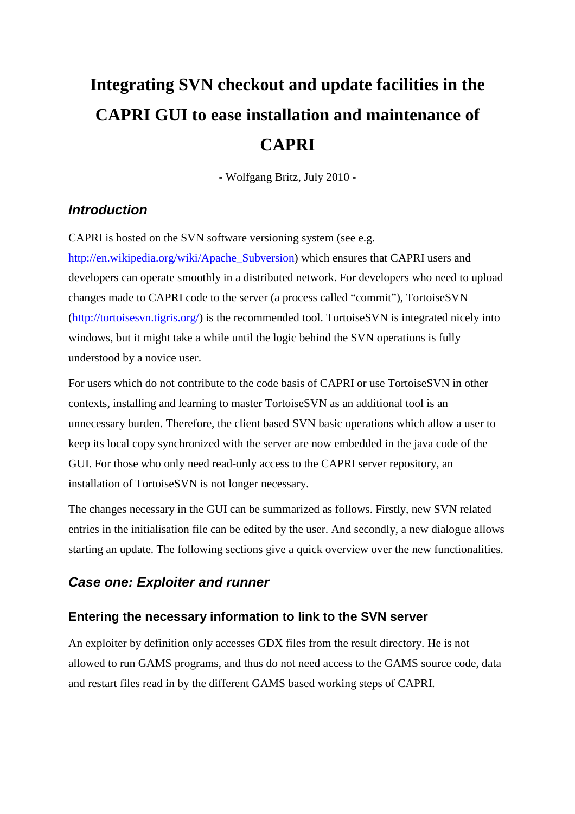# **Integrating SVN checkout and update facilities in the CAPRI GUI to ease installation and maintenance of CAPRI**

- Wolfgang Britz, July 2010 -

### *Introduction*

CAPRI is hosted on the SVN software versioning system (see e.g.

[http://en.wikipedia.org/wiki/Apache\\_Subversion\)](http://en.wikipedia.org/wiki/Apache_Subversion)) which ensures that CAPRI users and developers can operate smoothly in a distributed network. For developers who need to upload changes made to CAPRI code to the server (a process called "commit"), TortoiseSVN (http://tortoisesvn.tigris.org/) is the recommended tool. TortoiseSVN is integrated nicely into windows, but it might take a while until the logic behind the SVN operations is fully understood by a novice user.

For users which do not contribute to the code basis of CAPRI or use TortoiseSVN in other contexts, installing and learning to master TortoiseSVN as an additional tool is an unnecessary burden. Therefore, the client based SVN basic operations which allow a user to keep its local copy synchronized with the server are now embedded in the java code of the GUI. For those who only need read-only access to the CAPRI server repository, an installation of TortoiseSVN is not longer necessary.

The changes necessary in the GUI can be summarized as follows. Firstly, new SVN related entries in the initialisation file can be edited by the user. And secondly, a new dialogue allows starting an update. The following sections give a quick overview over the new functionalities.

## *Case one: Exploiter and runner*

#### **Entering the necessary information to link to the SVN server**

An exploiter by definition only accesses GDX files from the result directory. He is not allowed to run GAMS programs, and thus do not need access to the GAMS source code, data and restart files read in by the different GAMS based working steps of CAPRI.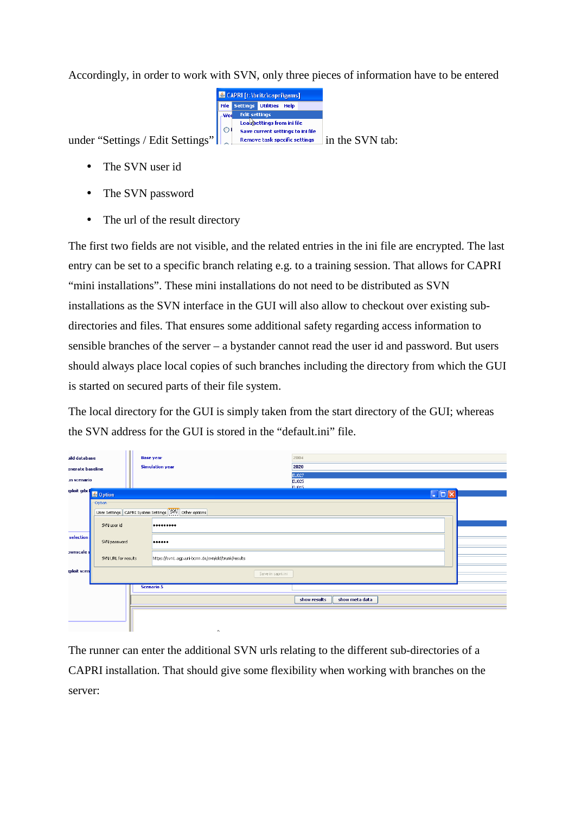Accordingly, in order to work with SVN, only three pieces of information have to be entered



under "Settings / Edit Settings" | Parmove task specific settings in the SVN tab:

- The SVN user id
- The SVN password
- The url of the result directory

The first two fields are not visible, and the related entries in the ini file are encrypted. The last entry can be set to a specific branch relating e.g. to a training session. That allows for CAPRI "mini installations". These mini installations do not need to be distributed as SVN installations as the SVN interface in the GUI will also allow to checkout over existing subdirectories and files. That ensures some additional safety regarding access information to sensible branches of the server – a bystander cannot read the user id and password. But users should always place local copies of such branches including the directory from which the GUI is started on secured parts of their file system.

The local directory for the GUI is simply taken from the start directory of the GUI; whereas the SVN address for the GUI is stored in the "default.ini" file.

| iild database      |                     | <b>Base year</b>       |                                                       | 2004                           |  |  |
|--------------------|---------------------|------------------------|-------------------------------------------------------|--------------------------------|--|--|
| enerate baseline   |                     | <b>Simulation year</b> |                                                       | 2020                           |  |  |
| un scenario        |                     |                        |                                                       | EU027<br>EU025                 |  |  |
|                    | ploit gdx 3 Option  |                        |                                                       | FUO15<br>$\square$ D $\square$ |  |  |
|                    | Option <sup>-</sup> |                        |                                                       |                                |  |  |
|                    |                     |                        | User Settings CAPRI System Settings SVN Other options |                                |  |  |
|                    | SVN user id         |                        |                                                       |                                |  |  |
| selection-         | SVN password        |                        |                                                       |                                |  |  |
| <b>ownscale</b>    | SVN URL for results |                        | https://svn1.agp.uni-bonn.de/svn/old/trunk/results    |                                |  |  |
| <b>sploit</b> scen |                     |                        | Save in capri.ini                                     |                                |  |  |
|                    |                     | <b>Scenario 5</b>      |                                                       |                                |  |  |
|                    |                     |                        |                                                       | show results<br>show meta data |  |  |
|                    |                     |                        |                                                       |                                |  |  |

The runner can enter the additional SVN urls relating to the different sub-directories of a CAPRI installation. That should give some flexibility when working with branches on the server: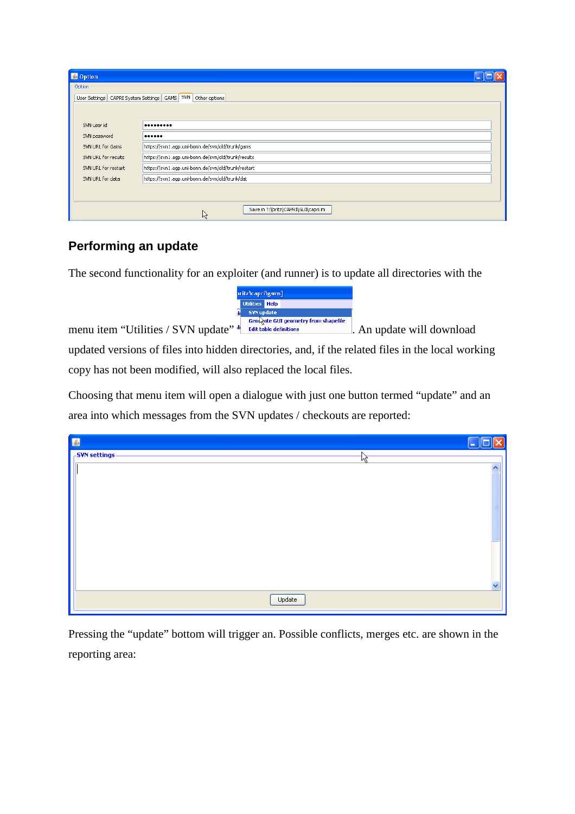| <b>图 Option</b>                                                           |                                                |  |  |  |  |  |
|---------------------------------------------------------------------------|------------------------------------------------|--|--|--|--|--|
| Option <sup>®</sup><br>User Settings   CAPRI System Settings   GAMS       | SVN<br>Other options                           |  |  |  |  |  |
| SVN user id                                                               |                                                |  |  |  |  |  |
| SVN password                                                              |                                                |  |  |  |  |  |
| https://svn1.agp.uni-bonn.de/svn/old/trunk/gams<br>SVN URL for Gams       |                                                |  |  |  |  |  |
| https://svn1.agp.uni-bonn.de/svn/old/trunk/results<br>SVN URL for results |                                                |  |  |  |  |  |
| https://svn1.agp.uni-bonn.de/svn/old/trunk/restart<br>SVN URL for restart |                                                |  |  |  |  |  |
| SVN URL for data                                                          | https://svn1.agp.uni-bonn.de/svn/old/trunk/dat |  |  |  |  |  |
|                                                                           |                                                |  |  |  |  |  |
|                                                                           | Save in T:\britz\CAPRI\GUI\capri.ini<br>R      |  |  |  |  |  |

## **Performing an update**

The second functionality for an exploiter (and runner) is to update all directories with the

| pritz\capri\gams] |                                      |  |  |  |  |  |  |  |
|-------------------|--------------------------------------|--|--|--|--|--|--|--|
|                   | <b>Utilities</b> Help                |  |  |  |  |  |  |  |
|                   | <b>SVN</b> update                    |  |  |  |  |  |  |  |
|                   | Gent ate GUI geometry from shapefile |  |  |  |  |  |  |  |

menu item "Utilities / SVN update" <sup>is</sup> Edit table definitions . An update will download

updated versions of files into hidden directories, and, if the related files in the local working copy has not been modified, will also replaced the local files.

Choosing that menu item will open a dialogue with just one button termed "update" and an area into which messages from the SVN updates / checkouts are reported:

| 圖             | H                       |
|---------------|-------------------------|
| -SVN settings | 仔                       |
|               | $\overline{\mathbf{v}}$ |
|               |                         |
|               |                         |
|               |                         |
|               |                         |
|               |                         |
|               |                         |
|               |                         |
|               | $\checkmark$            |
|               | Update                  |

Pressing the "update" bottom will trigger an. Possible conflicts, merges etc. are shown in the reporting area: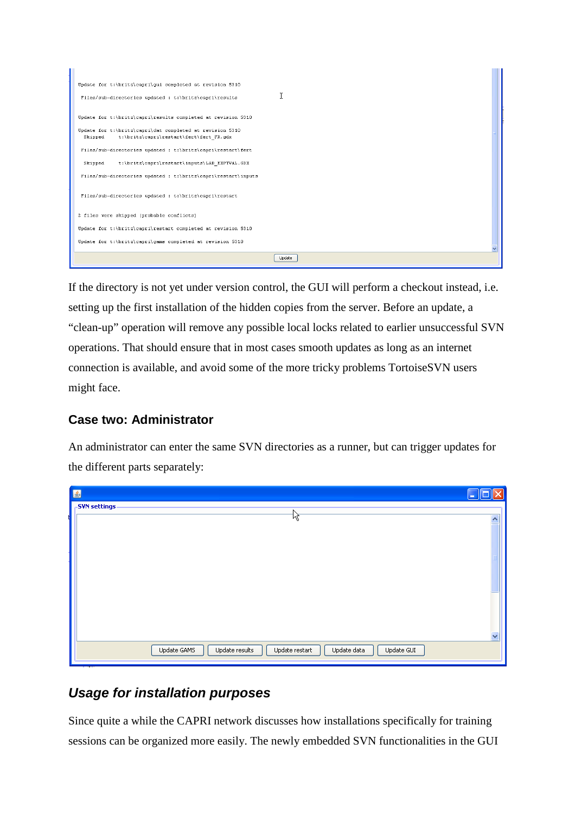| Update for t:\britz\capri\qui completed at revision 5310      |  |
|---------------------------------------------------------------|--|
| I<br>Files/sub-directories updated : t:\britz\capri\results   |  |
| Update for t:\britz\capri\results completed at revision 5310  |  |
| Update for t:\britz\capri\dat completed at revision 5310      |  |
| t:\britz\capri\restart\fert\fert FR.gdx<br>Skipped            |  |
| Files/sub-directories updated : t:\britz\capri\restart\fert   |  |
| t:\britz\capri\restart\inputs\LAB_EXPTVAL.GDX<br>Skipped      |  |
| Files/sub-directories updated : t:\britz\capri\restart\inputs |  |
| Files/sub-directories updated : t:\britz\capri\restart        |  |
| 2 files were skipped (probable conflicts)                     |  |
| Update for t:\britz\capri\restart completed at revision 5310  |  |
| Update for t:\britz\capri\gams completed at revision 5310     |  |
| Update                                                        |  |

If the directory is not yet under version control, the GUI will perform a checkout instead, i.e. setting up the first installation of the hidden copies from the server. Before an update, a "clean-up" operation will remove any possible local locks related to earlier unsuccessful SVN operations. That should ensure that in most cases smooth updates as long as an internet connection is available, and avoid some of the more tricky problems TortoiseSVN users might face.

#### **Case two: Administrator**

An administrator can enter the same SVN directories as a runner, but can trigger updates for the different parts separately:

| 圖                                                                            | ÷                       |
|------------------------------------------------------------------------------|-------------------------|
| <b>SVN</b> settings<br>N                                                     |                         |
| 烃                                                                            | $\overline{\mathbf{v}}$ |
|                                                                              |                         |
|                                                                              |                         |
|                                                                              |                         |
|                                                                              |                         |
|                                                                              |                         |
|                                                                              |                         |
|                                                                              |                         |
|                                                                              | $\overline{\mathbf{v}}$ |
| Update results<br>Update GAMS<br>Update restart<br>Update data<br>Update GUI |                         |
|                                                                              |                         |

## *Usage for installation purposes*

Since quite a while the CAPRI network discusses how installations specifically for training sessions can be organized more easily. The newly embedded SVN functionalities in the GUI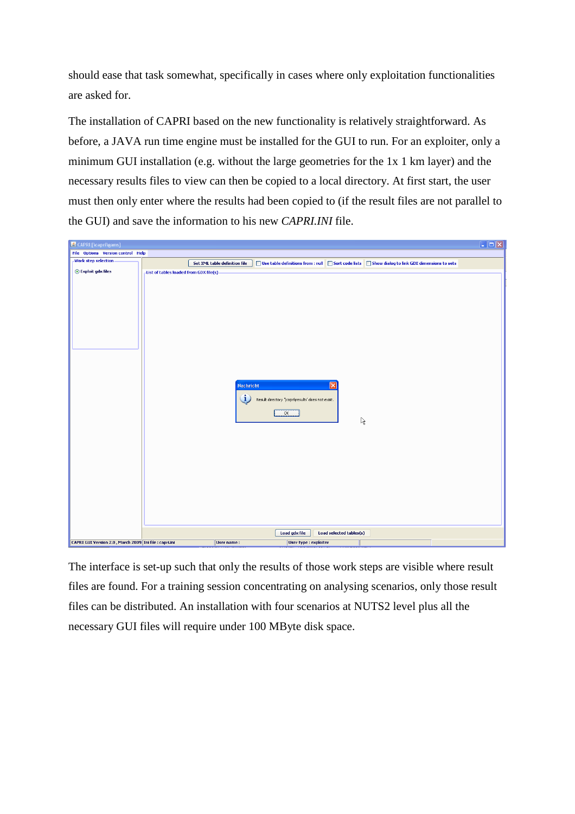should ease that task somewhat, specifically in cases where only exploitation functionalities are asked for.

The installation of CAPRI based on the new functionality is relatively straightforward. As before, a JAVA run time engine must be installed for the GUI to run. For an exploiter, only a minimum GUI installation (e.g. without the large geometries for the 1x 1 km layer) and the necessary results files to view can then be copied to a local directory. At first start, the user must then only enter where the results had been copied to (if the result files are not parallel to the GUI) and save the information to his new *CAPRI.INI* file.

| <mark>名</mark> CAPRI [\capri\gams]                     |                                          |                               |                                                                                                    |                                         | $\Box$ o $\times$ |
|--------------------------------------------------------|------------------------------------------|-------------------------------|----------------------------------------------------------------------------------------------------|-----------------------------------------|-------------------|
| File Options Version control Help                      |                                          |                               |                                                                                                    |                                         |                   |
| Work step selection                                    |                                          | Set XML table definition file | □ Use table definitions from : null ■ Sort code lists ■ Show dialog to link GDX dimensions to sets |                                         |                   |
| ⊙ Exploit gdx files                                    |                                          |                               |                                                                                                    |                                         |                   |
|                                                        | -List of tables loaded from GDX file(s). | <b>Nachricht</b><br>Œ         | Result directory '\capri\results' does not exist.<br>OK                                            | $\overline{\mathsf{x}}$<br>$\mathbb{A}$ |                   |
|                                                        |                                          |                               |                                                                                                    |                                         |                   |
|                                                        |                                          |                               | Load gdx file                                                                                      | Load selected tables(s)                 |                   |
| CAPRI GUI Version 2.0, March 2009 Ini file : capri.ini |                                          | User name:                    | User type : exploiter                                                                              |                                         |                   |

The interface is set-up such that only the results of those work steps are visible where result files are found. For a training session concentrating on analysing scenarios, only those result files can be distributed. An installation with four scenarios at NUTS2 level plus all the necessary GUI files will require under 100 MByte disk space.